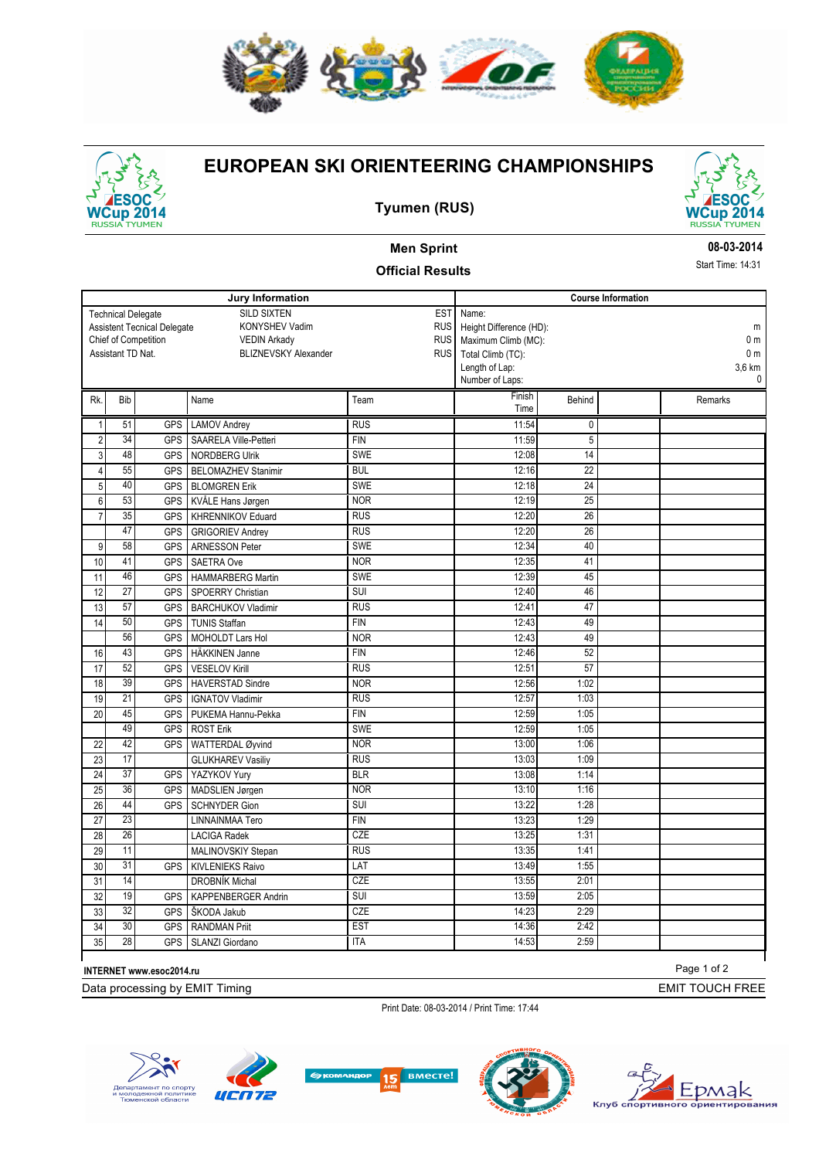

# **Cup 201 TYUME**

### **EUROPEAN SKI ORIENTEERING CHAMPIONSHIPS**





### **Men Sprint**

**Official Results**

#### **08-03-2014**

Start Time: 14:31

|                                                  |                 |                                    | Jury Information             | <b>Course Information</b>                  |                                   |                 |  |                        |
|--------------------------------------------------|-----------------|------------------------------------|------------------------------|--------------------------------------------|-----------------------------------|-----------------|--|------------------------|
|                                                  |                 | <b>Technical Delegate</b>          | <b>SILD SIXTEN</b>           | <b>EST</b><br>Name:                        |                                   |                 |  |                        |
|                                                  |                 | <b>Assistent Tecnical Delegate</b> | KONYSHEV Vadim               | <b>RUS</b><br>Height Difference (HD):<br>m |                                   |                 |  |                        |
|                                                  |                 | Chief of Competition               | <b>VEDIN Arkady</b>          | <b>RUS</b>                                 | Maximum Climb (MC):               |                 |  | 0 <sub>m</sub>         |
| Assistant TD Nat.<br><b>BLIZNEVSKY Alexander</b> |                 |                                    |                              |                                            | <b>RUS</b><br>Total Climb (TC):   |                 |  | 0 <sub>m</sub>         |
|                                                  |                 |                                    |                              |                                            | Length of Lap:<br>Number of Laps: |                 |  | 3,6 km<br>$\mathbf{0}$ |
|                                                  |                 |                                    |                              |                                            | Finish                            |                 |  |                        |
| Rk.                                              | Bib             |                                    | Name                         | Team                                       | Time                              | Behind          |  | Remarks                |
| $\mathbf{1}$                                     | 51              | <b>GPS</b>                         | <b>LAMOV Andrev</b>          | <b>RUS</b>                                 | 11:54                             | 0               |  |                        |
| $\overline{2}$                                   | $\overline{34}$ | <b>GPS</b>                         | <b>SAARELA Ville-Petteri</b> | <b>FIN</b>                                 | 11:59                             | $\overline{5}$  |  |                        |
| $\mathbf{3}$                                     | 48              | <b>GPS</b>                         | <b>NORDBERG Ulrik</b>        | <b>SWE</b>                                 | 12:08                             | 14              |  |                        |
| $\overline{4}$                                   | 55              | <b>GPS</b>                         | <b>BELOMAZHEV Stanimir</b>   | <b>BUL</b>                                 | 12:16                             | 22              |  |                        |
| 5                                                | 40              | <b>GPS</b>                         | <b>BLOMGREN Erik</b>         | SWE                                        | 12:18                             | $\overline{24}$ |  |                        |
| $\,6$                                            | 53              | <b>GPS</b>                         | KVÅLE Hans Jørgen            | <b>NOR</b>                                 | 12:19                             | 25              |  |                        |
| $\overline{7}$                                   | $\overline{35}$ | <b>GPS</b>                         | KHRENNIKOV Eduard            | RUS                                        | 12:20                             | $\overline{26}$ |  |                        |
|                                                  | 47              | <b>GPS</b>                         | <b>GRIGORIEV Andrey</b>      | RUS                                        | 12:20                             | 26              |  |                        |
| 9                                                | 58              | <b>GPS</b>                         | <b>ARNESSON Peter</b>        | <b>SWE</b>                                 | 12:34                             | 40              |  |                        |
| 10                                               | 41              | <b>GPS</b>                         | <b>SAETRA Ove</b>            | <b>NOR</b>                                 | 12:35                             | 41              |  |                        |
| 11                                               | 46              | <b>GPS</b>                         | <b>HAMMARBERG Martin</b>     | <b>SWE</b>                                 | 12:39                             | 45              |  |                        |
| 12                                               | $\overline{27}$ | <b>GPS</b>                         | <b>SPOERRY Christian</b>     | <b>SUI</b>                                 | 12:40                             | 46              |  |                        |
| 13                                               | 57              | <b>GPS</b>                         | <b>BARCHUKOV Vladimir</b>    | <b>RUS</b>                                 | 12:41                             | 47              |  |                        |
| 14                                               | 50              | <b>GPS</b>                         | <b>TUNIS Staffan</b>         | <b>FIN</b>                                 | 12:43                             | 49              |  |                        |
|                                                  | 56              | <b>GPS</b>                         | MOHOLDT Lars Hol             | <b>NOR</b>                                 | 12:43                             | 49              |  |                        |
| 16                                               | 43              | <b>GPS</b>                         | <b>HÄKKINEN Janne</b>        | <b>FIN</b>                                 | 12:46                             | 52              |  |                        |
| 17                                               | 52              | <b>GPS</b>                         | <b>VESELOV Kirill</b>        | <b>RUS</b>                                 | 12:51                             | 57              |  |                        |
| 18                                               | 39              | <b>GPS</b>                         | <b>HAVERSTAD Sindre</b>      | <b>NOR</b>                                 | 12:56                             | 1:02            |  |                        |
| 19                                               | $\overline{21}$ | <b>GPS</b>                         | <b>IGNATOV Vladimir</b>      | <b>RUS</b>                                 | 12:57                             | 1:03            |  |                        |
| 20                                               | 45              | <b>GPS</b>                         | PUKEMA Hannu-Pekka           | <b>FIN</b>                                 | 12:59                             | 1:05            |  |                        |
|                                                  | 49              | <b>GPS</b>                         | <b>ROST Erik</b>             | <b>SWE</b>                                 | 12:59                             | 1:05            |  |                        |
| 22                                               | 42              | <b>GPS</b>                         | WATTERDAL Øyvind             | <b>NOR</b>                                 | 13:00                             | 1:06            |  |                        |
| 23                                               | $\overline{17}$ |                                    | <b>GLUKHAREV Vasiliy</b>     | $R\cup\overline{S}$                        | 13:03                             | 1:09            |  |                        |
| 24                                               | $\overline{37}$ | <b>GPS</b>                         | YAZYKOV Yury                 | <b>BLR</b>                                 | 13:08                             | 1:14            |  |                        |
| 25                                               | 36              | <b>GPS</b>                         | MADSLIEN Jørgen              | <b>NOR</b>                                 | 13:10                             | 1:16            |  |                        |
| 26                                               | 44              | <b>GPS</b>                         | <b>SCHNYDER Gion</b>         | $\overline{\text{SUI}}$                    | 13:22                             | 1:28            |  |                        |
| 27                                               | $\overline{23}$ |                                    | LINNAINMAA Tero              | <b>FIN</b>                                 | 13:23                             | 1:29            |  |                        |
| 28                                               | 26              |                                    | <b>LACIGA Radek</b>          | CZE                                        | 13:25                             | 1:31            |  |                        |
| 29                                               | 11              |                                    | MALINOVSKIY Stepan           | <b>RUS</b>                                 | 13:35                             | 1:41            |  |                        |
| 30                                               | $\overline{31}$ | <b>GPS</b>                         | <b>KIVLENIEKS Raivo</b>      | LAT                                        | 13:49                             | 1:55            |  |                        |
| 31                                               | 14              |                                    | <b>DROBNÍK Michal</b>        | CZE                                        | 13:55                             | 2:01            |  |                        |
| 32                                               | 19              | <b>GPS</b>                         | <b>KAPPENBERGER Andrin</b>   | <b>SUI</b>                                 | 13:59                             | 2:05            |  |                        |
| 33                                               | 32              | <b>GPS</b>                         | ŠKODA Jakub                  | CZE                                        | 14:23                             | 2:29            |  |                        |
| 34                                               | 30              | <b>GPS</b>                         | <b>RANDMAN Priit</b>         | <b>EST</b>                                 | 14:36                             | 2:42            |  |                        |
| 35                                               | $\overline{28}$ |                                    | GPS   SLANZI Giordano        | <b>ITA</b>                                 | 14:53                             | 2:59            |  |                        |

**INTERNET www.esoc2014.ru**

Data processing by EMIT Timing

Print Date: 08-03-2014 / Print Time: 17:44











Page 1 of 2

EMIT TOUCH FREE

Timing